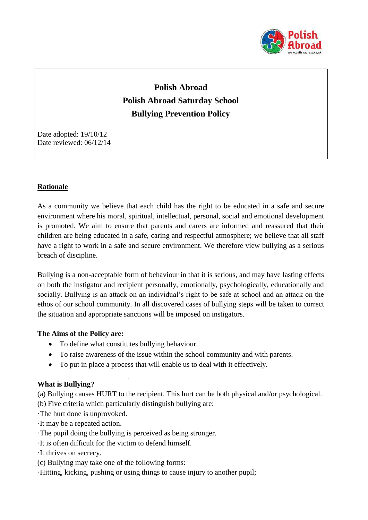

# **Polish Abroad Polish Abroad Saturday School Bullying Prevention Policy**

Date adopted: 19/10/12 Date reviewed: 06/12/14

## **Rationale**

As a community we believe that each child has the right to be educated in a safe and secure environment where his moral, spiritual, intellectual, personal, social and emotional development is promoted. We aim to ensure that parents and carers are informed and reassured that their children are being educated in a safe, caring and respectful atmosphere; we believe that all staff have a right to work in a safe and secure environment. We therefore view bullying as a serious breach of discipline.

Bullying is a non-acceptable form of behaviour in that it is serious, and may have lasting effects on both the instigator and recipient personally, emotionally, psychologically, educationally and socially. Bullying is an attack on an individual's right to be safe at school and an attack on the ethos of our school community. In all discovered cases of bullying steps will be taken to correct the situation and appropriate sanctions will be imposed on instigators.

### **The Aims of the Policy are:**

- To define what constitutes bullying behaviour.
- To raise awareness of the issue within the school community and with parents.
- To put in place a process that will enable us to deal with it effectively.

#### **What is Bullying?**

(a) Bullying causes HURT to the recipient. This hurt can be both physical and/or psychological.

(b) Five criteria which particularly distinguish bullying are:

·The hurt done is unprovoked.

·It may be a repeated action.

- ·The pupil doing the bullying is perceived as being stronger.
- ·It is often difficult for the victim to defend himself.
- ·It thrives on secrecy.
- (c) Bullying may take one of the following forms:
- ·Hitting, kicking, pushing or using things to cause injury to another pupil;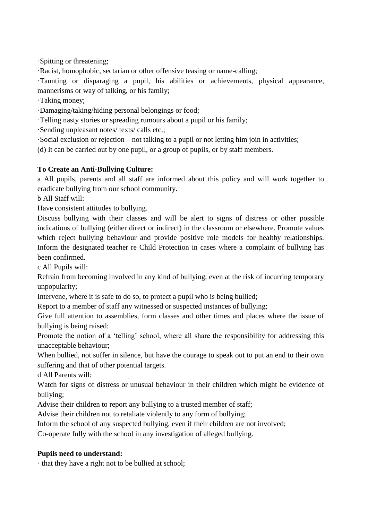·Spitting or threatening;

·Racist, homophobic, sectarian or other offensive teasing or name-calling;

·Taunting or disparaging a pupil, his abilities or achievements, physical appearance, mannerisms or way of talking, or his family;

·Taking money;

·Damaging/taking/hiding personal belongings or food;

·Telling nasty stories or spreading rumours about a pupil or his family;

·Sending unpleasant notes/ texts/ calls etc.;

·Social exclusion or rejection – not talking to a pupil or not letting him join in activities;

(d) It can be carried out by one pupil, or a group of pupils, or by staff members.

## **To Create an Anti-Bullying Culture:**

a All pupils, parents and all staff are informed about this policy and will work together to eradicate bullying from our school community.

b All Staff will:

Have consistent attitudes to bullying.

Discuss bullying with their classes and will be alert to signs of distress or other possible indications of bullying (either direct or indirect) in the classroom or elsewhere. Promote values which reject bullying behaviour and provide positive role models for healthy relationships. Inform the designated teacher re Child Protection in cases where a complaint of bullying has been confirmed.

c All Pupils will:

Refrain from becoming involved in any kind of bullying, even at the risk of incurring temporary unpopularity;

Intervene, where it is safe to do so, to protect a pupil who is being bullied;

Report to a member of staff any witnessed or suspected instances of bullying;

Give full attention to assemblies, form classes and other times and places where the issue of bullying is being raised;

Promote the notion of a 'telling' school, where all share the responsibility for addressing this unacceptable behaviour;

When bullied, not suffer in silence, but have the courage to speak out to put an end to their own suffering and that of other potential targets.

d All Parents will:

Watch for signs of distress or unusual behaviour in their children which might be evidence of bullying;

Advise their children to report any bullying to a trusted member of staff;

Advise their children not to retaliate violently to any form of bullying;

Inform the school of any suspected bullying, even if their children are not involved;

Co-operate fully with the school in any investigation of alleged bullying.

### **Pupils need to understand:**

· that they have a right not to be bullied at school;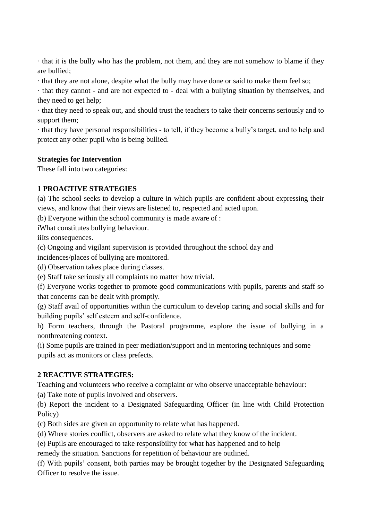· that it is the bully who has the problem, not them, and they are not somehow to blame if they are bullied;

· that they are not alone, despite what the bully may have done or said to make them feel so;

· that they cannot - and are not expected to - deal with a bullying situation by themselves, and they need to get help;

· that they need to speak out, and should trust the teachers to take their concerns seriously and to support them;

· that they have personal responsibilities - to tell, if they become a bully's target, and to help and protect any other pupil who is being bullied.

## **Strategies for Intervention**

These fall into two categories:

## **1 PROACTIVE STRATEGIES**

(a) The school seeks to develop a culture in which pupils are confident about expressing their views, and know that their views are listened to, respected and acted upon.

(b) Everyone within the school community is made aware of :

iWhat constitutes bullying behaviour.

iiIts consequences.

(c) Ongoing and vigilant supervision is provided throughout the school day and

incidences/places of bullying are monitored.

(d) Observation takes place during classes.

(e) Staff take seriously all complaints no matter how trivial.

(f) Everyone works together to promote good communications with pupils, parents and staff so that concerns can be dealt with promptly.

(g) Staff avail of opportunities within the curriculum to develop caring and social skills and for building pupils' self esteem and self-confidence.

h) Form teachers, through the Pastoral programme, explore the issue of bullying in a nonthreatening context.

(i) Some pupils are trained in peer mediation/support and in mentoring techniques and some pupils act as monitors or class prefects.

### **2 REACTIVE STRATEGIES:**

Teaching and volunteers who receive a complaint or who observe unacceptable behaviour:

(a) Take note of pupils involved and observers.

(b) Report the incident to a Designated Safeguarding Officer (in line with Child Protection Policy)

(c) Both sides are given an opportunity to relate what has happened.

(d) Where stories conflict, observers are asked to relate what they know of the incident.

(e) Pupils are encouraged to take responsibility for what has happened and to help

remedy the situation. Sanctions for repetition of behaviour are outlined.

(f) With pupils' consent, both parties may be brought together by the Designated Safeguarding Officer to resolve the issue.